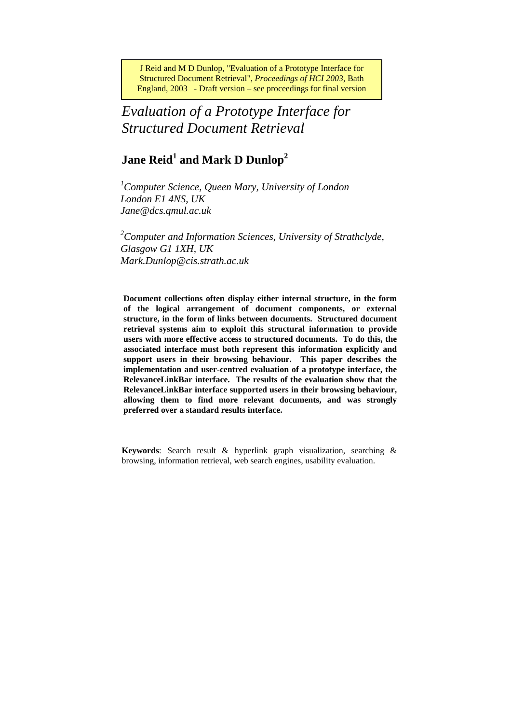J Reid and M D Dunlop, "Evaluation of a Prototype Interface for Structured Document Retrieval", *Proceedings of HCI 2003*, Bath England, 2003 - Draft version – see proceedings for final version

*Evaluation of a Prototype Interface for Structured Document Retrieval* 

# **Jane Reid<sup>1</sup> and Mark D Dunlop<sup>2</sup>**

*1 Computer Science, Queen Mary, University of London London E1 4NS, UK Jane@dcs.qmul.ac.uk* 

*2 Computer and Information Sciences, University of Strathclyde, Glasgow G1 1XH, UK Mark.Dunlop@cis.strath.ac.uk* 

**Document collections often display either internal structure, in the form of the logical arrangement of document components, or external structure, in the form of links between documents. Structured document retrieval systems aim to exploit this structural information to provide users with more effective access to structured documents. To do this, the associated interface must both represent this information explicitly and support users in their browsing behaviour. This paper describes the implementation and user-centred evaluation of a prototype interface, the RelevanceLinkBar interface. The results of the evaluation show that the RelevanceLinkBar interface supported users in their browsing behaviour, allowing them to find more relevant documents, and was strongly preferred over a standard results interface.** 

**Keywords**: Search result & hyperlink graph visualization, searching & browsing, information retrieval, web search engines, usability evaluation.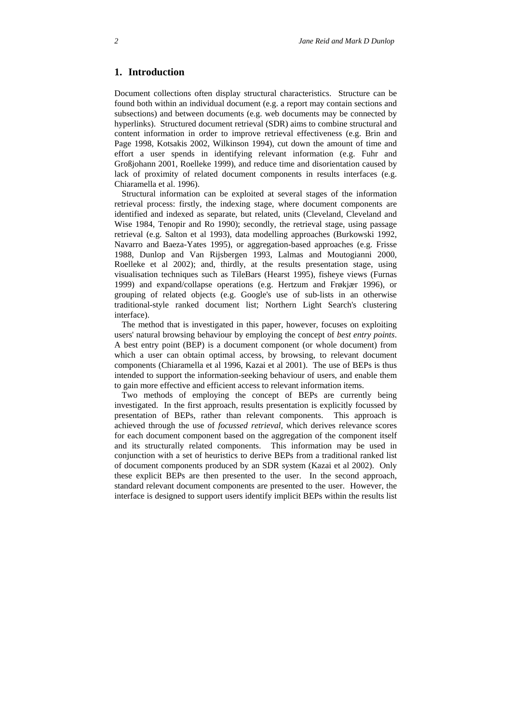#### **1. Introduction**

Document collections often display structural characteristics. Structure can be found both within an individual document (e.g. a report may contain sections and subsections) and between documents (e.g. web documents may be connected by hyperlinks). Structured document retrieval (SDR) aims to combine structural and content information in order to improve retrieval effectiveness (e.g. Brin and Page 1998, Kotsakis 2002, Wilkinson 1994), cut down the amount of time and effort a user spends in identifying relevant information (e.g. Fuhr and Großjohann 2001, Roelleke 1999), and reduce time and disorientation caused by lack of proximity of related document components in results interfaces (e.g. Chiaramella et al. 1996).

Structural information can be exploited at several stages of the information retrieval process: firstly, the indexing stage, where document components are identified and indexed as separate, but related, units (Cleveland, Cleveland and Wise 1984, Tenopir and Ro 1990); secondly, the retrieval stage, using passage retrieval (e.g. Salton et al 1993), data modelling approaches (Burkowski 1992, Navarro and Baeza-Yates 1995), or aggregation-based approaches (e.g. Frisse 1988, Dunlop and Van Rijsbergen 1993, Lalmas and Moutogianni 2000, Roelleke et al 2002); and, thirdly, at the results presentation stage, using visualisation techniques such as TileBars (Hearst 1995), fisheye views (Furnas 1999) and expand/collapse operations (e.g. Hertzum and Frøkjær 1996), or grouping of related objects (e.g. Google's use of sub-lists in an otherwise traditional-style ranked document list; Northern Light Search's clustering interface).

The method that is investigated in this paper, however, focuses on exploiting users' natural browsing behaviour by employing the concept of *best entry points*. A best entry point (BEP) is a document component (or whole document) from which a user can obtain optimal access, by browsing, to relevant document components (Chiaramella et al 1996, Kazai et al 2001). The use of BEPs is thus intended to support the information-seeking behaviour of users, and enable them to gain more effective and efficient access to relevant information items.

Two methods of employing the concept of BEPs are currently being investigated. In the first approach, results presentation is explicitly focussed by presentation of BEPs, rather than relevant components. This approach is achieved through the use of *focussed retrieval*, which derives relevance scores for each document component based on the aggregation of the component itself and its structurally related components. This information may be used in conjunction with a set of heuristics to derive BEPs from a traditional ranked list of document components produced by an SDR system (Kazai et al 2002). Only these explicit BEPs are then presented to the user. In the second approach, standard relevant document components are presented to the user. However, the interface is designed to support users identify implicit BEPs within the results list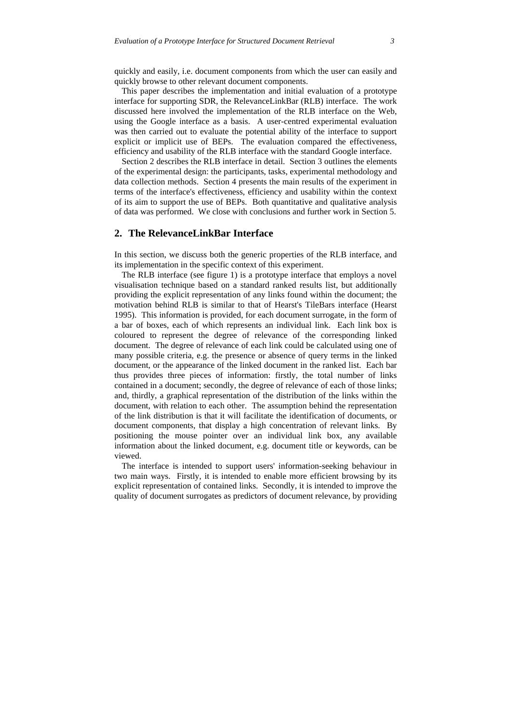quickly and easily, i.e. document components from which the user can easily and quickly browse to other relevant document components.

This paper describes the implementation and initial evaluation of a prototype interface for supporting SDR, the RelevanceLinkBar (RLB) interface. The work discussed here involved the implementation of the RLB interface on the Web, using the Google interface as a basis. A user-centred experimental evaluation was then carried out to evaluate the potential ability of the interface to support explicit or implicit use of BEPs. The evaluation compared the effectiveness, efficiency and usability of the RLB interface with the standard Google interface.

Section 2 describes the RLB interface in detail. Section 3 outlines the elements of the experimental design: the participants, tasks, experimental methodology and data collection methods. Section 4 presents the main results of the experiment in terms of the interface's effectiveness, efficiency and usability within the context of its aim to support the use of BEPs. Both quantitative and qualitative analysis of data was performed. We close with conclusions and further work in Section 5.

#### **2. The RelevanceLinkBar Interface**

In this section, we discuss both the generic properties of the RLB interface, and its implementation in the specific context of this experiment.

The RLB interface (see figure 1) is a prototype interface that employs a novel visualisation technique based on a standard ranked results list, but additionally providing the explicit representation of any links found within the document; the motivation behind RLB is similar to that of Hearst's TileBars interface (Hearst 1995). This information is provided, for each document surrogate, in the form of a bar of boxes, each of which represents an individual link. Each link box is coloured to represent the degree of relevance of the corresponding linked document. The degree of relevance of each link could be calculated using one of many possible criteria, e.g. the presence or absence of query terms in the linked document, or the appearance of the linked document in the ranked list. Each bar thus provides three pieces of information: firstly, the total number of links contained in a document; secondly, the degree of relevance of each of those links; and, thirdly, a graphical representation of the distribution of the links within the document, with relation to each other. The assumption behind the representation of the link distribution is that it will facilitate the identification of documents, or document components, that display a high concentration of relevant links. By positioning the mouse pointer over an individual link box, any available information about the linked document, e.g. document title or keywords, can be viewed.

The interface is intended to support users' information-seeking behaviour in two main ways. Firstly, it is intended to enable more efficient browsing by its explicit representation of contained links. Secondly, it is intended to improve the quality of document surrogates as predictors of document relevance, by providing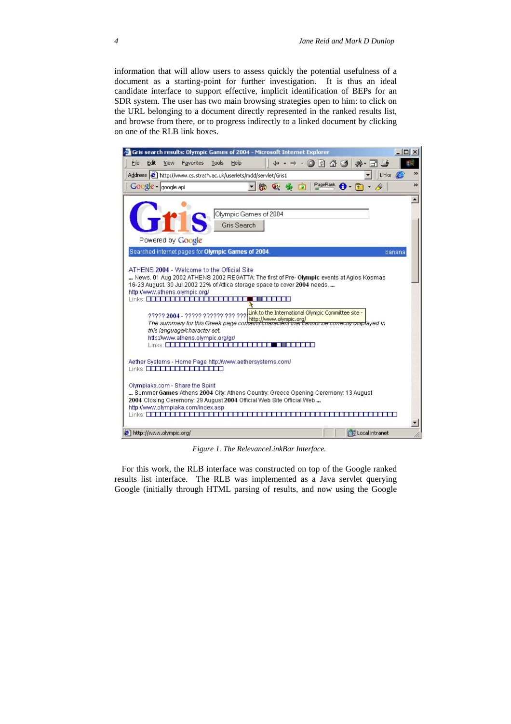information that will allow users to assess quickly the potential usefulness of a document as a starting-point for further investigation. It is thus an ideal candidate interface to support effective, implicit identification of BEPs for an SDR system. The user has two main browsing strategies open to him: to click on the URL belonging to a document directly represented in the ranked results list, and browse from there, or to progress indirectly to a linked document by clicking on one of the RLB link boxes.



*Figure 1. The RelevanceLinkBar Interface.* 

For this work, the RLB interface was constructed on top of the Google ranked results list interface. The RLB was implemented as a Java servlet querying Google (initially through HTML parsing of results, and now using the Google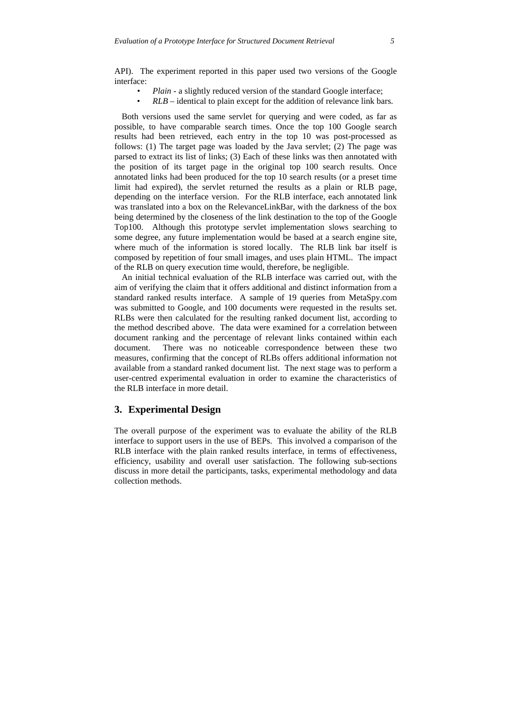API). The experiment reported in this paper used two versions of the Google interface:

- *Plain* a slightly reduced version of the standard Google interface;
- *RLB* identical to plain except for the addition of relevance link bars.

Both versions used the same servlet for querying and were coded, as far as possible, to have comparable search times. Once the top 100 Google search results had been retrieved, each entry in the top 10 was post-processed as follows: (1) The target page was loaded by the Java servlet; (2) The page was parsed to extract its list of links; (3) Each of these links was then annotated with the position of its target page in the original top 100 search results. Once annotated links had been produced for the top 10 search results (or a preset time limit had expired), the servlet returned the results as a plain or RLB page, depending on the interface version. For the RLB interface, each annotated link was translated into a box on the RelevanceLinkBar, with the darkness of the box being determined by the closeness of the link destination to the top of the Google Top100. Although this prototype servlet implementation slows searching to some degree, any future implementation would be based at a search engine site, where much of the information is stored locally. The RLB link bar itself is composed by repetition of four small images, and uses plain HTML. The impact of the RLB on query execution time would, therefore, be negligible.

An initial technical evaluation of the RLB interface was carried out, with the aim of verifying the claim that it offers additional and distinct information from a standard ranked results interface. A sample of 19 queries from MetaSpy.com was submitted to Google, and 100 documents were requested in the results set. RLBs were then calculated for the resulting ranked document list, according to the method described above. The data were examined for a correlation between document ranking and the percentage of relevant links contained within each document. There was no noticeable correspondence between these two measures, confirming that the concept of RLBs offers additional information not available from a standard ranked document list. The next stage was to perform a user-centred experimental evaluation in order to examine the characteristics of the RLB interface in more detail.

## **3. Experimental Design**

The overall purpose of the experiment was to evaluate the ability of the RLB interface to support users in the use of BEPs. This involved a comparison of the RLB interface with the plain ranked results interface, in terms of effectiveness, efficiency, usability and overall user satisfaction. The following sub-sections discuss in more detail the participants, tasks, experimental methodology and data collection methods.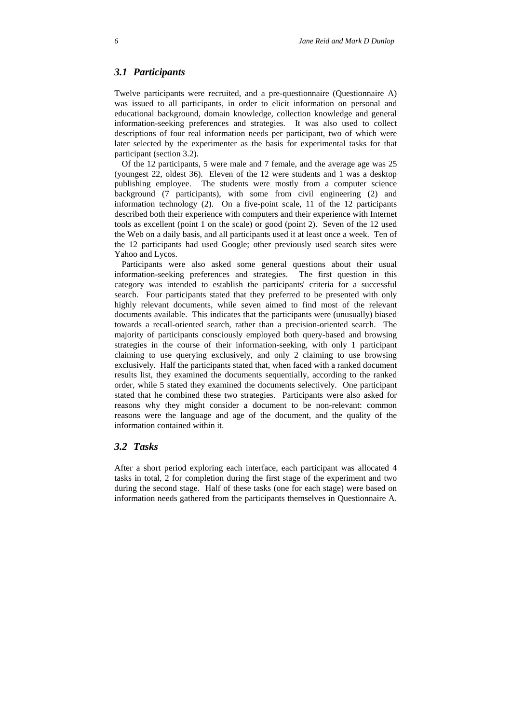#### *3.1 Participants*

Twelve participants were recruited, and a pre-questionnaire (Questionnaire A) was issued to all participants, in order to elicit information on personal and educational background, domain knowledge, collection knowledge and general information-seeking preferences and strategies. It was also used to collect descriptions of four real information needs per participant, two of which were later selected by the experimenter as the basis for experimental tasks for that participant (section 3.2).

Of the 12 participants, 5 were male and 7 female, and the average age was 25 (youngest 22, oldest 36). Eleven of the 12 were students and 1 was a desktop publishing employee. The students were mostly from a computer science background (7 participants), with some from civil engineering (2) and information technology (2). On a five-point scale, 11 of the 12 participants described both their experience with computers and their experience with Internet tools as excellent (point 1 on the scale) or good (point 2). Seven of the 12 used the Web on a daily basis, and all participants used it at least once a week. Ten of the 12 participants had used Google; other previously used search sites were Yahoo and Lycos.

Participants were also asked some general questions about their usual information-seeking preferences and strategies. The first question in this category was intended to establish the participants' criteria for a successful search. Four participants stated that they preferred to be presented with only highly relevant documents, while seven aimed to find most of the relevant documents available. This indicates that the participants were (unusually) biased towards a recall-oriented search, rather than a precision-oriented search. The majority of participants consciously employed both query-based and browsing strategies in the course of their information-seeking, with only 1 participant claiming to use querying exclusively, and only 2 claiming to use browsing exclusively. Half the participants stated that, when faced with a ranked document results list, they examined the documents sequentially, according to the ranked order, while 5 stated they examined the documents selectively. One participant stated that he combined these two strategies. Participants were also asked for reasons why they might consider a document to be non-relevant: common reasons were the language and age of the document, and the quality of the information contained within it.

#### *3.2 Tasks*

After a short period exploring each interface, each participant was allocated 4 tasks in total, 2 for completion during the first stage of the experiment and two during the second stage. Half of these tasks (one for each stage) were based on information needs gathered from the participants themselves in Questionnaire A.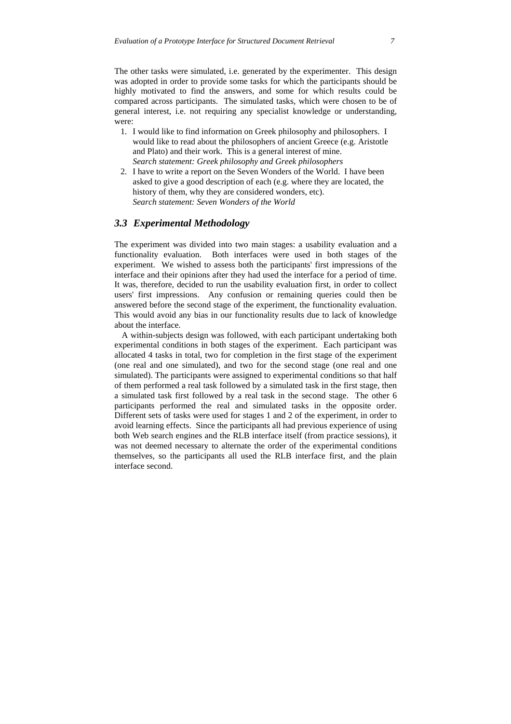The other tasks were simulated, i.e. generated by the experimenter. This design was adopted in order to provide some tasks for which the participants should be highly motivated to find the answers, and some for which results could be compared across participants. The simulated tasks, which were chosen to be of general interest, i.e. not requiring any specialist knowledge or understanding, were:

- 1. I would like to find information on Greek philosophy and philosophers. I would like to read about the philosophers of ancient Greece (e.g. Aristotle and Plato) and their work. This is a general interest of mine. *Search statement: Greek philosophy and Greek philosophers*
- 2. I have to write a report on the Seven Wonders of the World. I have been asked to give a good description of each (e.g. where they are located, the history of them, why they are considered wonders, etc). *Search statement: Seven Wonders of the World*

# *3.3 Experimental Methodology*

The experiment was divided into two main stages: a usability evaluation and a functionality evaluation. Both interfaces were used in both stages of the experiment. We wished to assess both the participants' first impressions of the interface and their opinions after they had used the interface for a period of time. It was, therefore, decided to run the usability evaluation first, in order to collect users' first impressions. Any confusion or remaining queries could then be answered before the second stage of the experiment, the functionality evaluation. This would avoid any bias in our functionality results due to lack of knowledge about the interface.

A within-subjects design was followed, with each participant undertaking both experimental conditions in both stages of the experiment. Each participant was allocated 4 tasks in total, two for completion in the first stage of the experiment (one real and one simulated), and two for the second stage (one real and one simulated). The participants were assigned to experimental conditions so that half of them performed a real task followed by a simulated task in the first stage, then a simulated task first followed by a real task in the second stage. The other 6 participants performed the real and simulated tasks in the opposite order. Different sets of tasks were used for stages 1 and 2 of the experiment, in order to avoid learning effects. Since the participants all had previous experience of using both Web search engines and the RLB interface itself (from practice sessions), it was not deemed necessary to alternate the order of the experimental conditions themselves, so the participants all used the RLB interface first, and the plain interface second.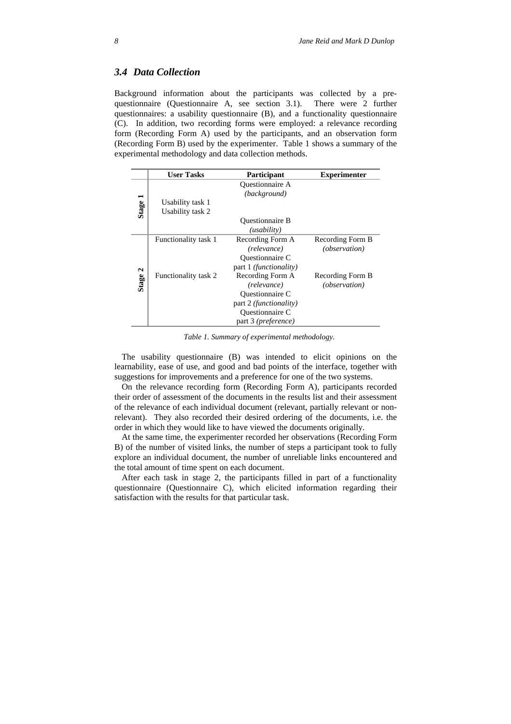#### *3.4 Data Collection*

Background information about the participants was collected by a prequestionnaire (Questionnaire A, see section 3.1). There were 2 further questionnaires: a usability questionnaire (B), and a functionality questionnaire (C). In addition, two recording forms were employed: a relevance recording form (Recording Form A) used by the participants, and an observation form (Recording Form B) used by the experimenter. Table 1 shows a summary of the experimental methodology and data collection methods.

|              | <b>User Tasks</b>                    | Participant                                                                                                                                   | <b>Experimenter</b>                      |
|--------------|--------------------------------------|-----------------------------------------------------------------------------------------------------------------------------------------------|------------------------------------------|
| <b>Stage</b> | Usability task 1<br>Usability task 2 | <b>Ouestionnaire A</b><br>(background)                                                                                                        |                                          |
|              |                                      | <b>Ouestionnaire B</b><br>(usability)                                                                                                         |                                          |
|              | Functionality task 1                 | Recording Form A<br>(relevance)<br><b>Ouestionnaire C</b><br>part 1 (functionality)                                                           | Recording Form B<br><i>(observation)</i> |
| Stage 2      | Functionality task 2                 | Recording Form A<br>(relevance)<br><b>Ouestionnaire C</b><br>part 2 (functionality)<br><b>Ouestionnaire C</b><br>part 3 ( <i>preference</i> ) | Recording Form B<br><i>(observation)</i> |

*Table 1. Summary of experimental methodology.* 

The usability questionnaire (B) was intended to elicit opinions on the learnability, ease of use, and good and bad points of the interface, together with suggestions for improvements and a preference for one of the two systems.

On the relevance recording form (Recording Form A), participants recorded their order of assessment of the documents in the results list and their assessment of the relevance of each individual document (relevant, partially relevant or nonrelevant). They also recorded their desired ordering of the documents, i.e. the order in which they would like to have viewed the documents originally.

At the same time, the experimenter recorded her observations (Recording Form B) of the number of visited links, the number of steps a participant took to fully explore an individual document, the number of unreliable links encountered and the total amount of time spent on each document.

After each task in stage 2, the participants filled in part of a functionality questionnaire (Questionnaire C), which elicited information regarding their satisfaction with the results for that particular task.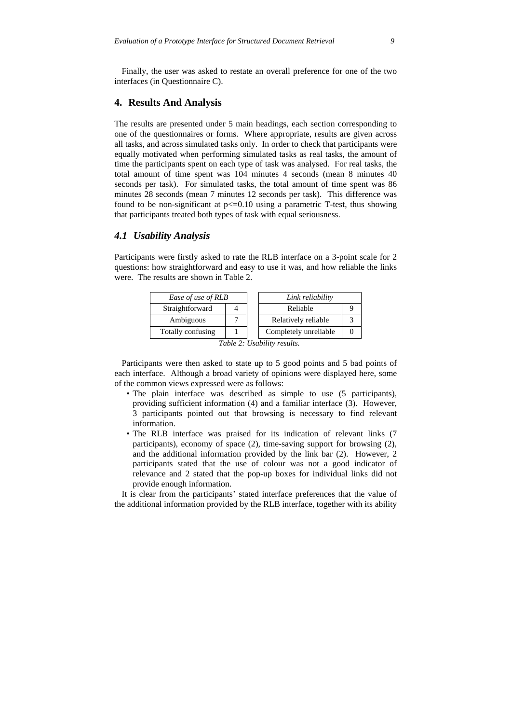Finally, the user was asked to restate an overall preference for one of the two interfaces (in Questionnaire C).

# **4. Results And Analysis**

The results are presented under 5 main headings, each section corresponding to one of the questionnaires or forms. Where appropriate, results are given across all tasks, and across simulated tasks only. In order to check that participants were equally motivated when performing simulated tasks as real tasks, the amount of time the participants spent on each type of task was analysed. For real tasks, the total amount of time spent was 104 minutes 4 seconds (mean 8 minutes 40 seconds per task). For simulated tasks, the total amount of time spent was 86 minutes 28 seconds (mean 7 minutes 12 seconds per task). This difference was found to be non-significant at  $p \leq 0.10$  using a parametric T-test, thus showing that participants treated both types of task with equal seriousness.

# *4.1 Usability Analysis*

Participants were firstly asked to rate the RLB interface on a 3-point scale for 2 questions: how straightforward and easy to use it was, and how reliable the links were. The results are shown in Table 2.

| Ease of use of RLB |  | Link reliability      |  |
|--------------------|--|-----------------------|--|
| Straightforward    |  | Reliable              |  |
| Ambiguous          |  | Relatively reliable   |  |
| Totally confusing  |  | Completely unreliable |  |

*Table 2: Usability results.* 

Participants were then asked to state up to 5 good points and 5 bad points of each interface. Although a broad variety of opinions were displayed here, some of the common views expressed were as follows:

- The plain interface was described as simple to use (5 participants), providing sufficient information (4) and a familiar interface (3). However, 3 participants pointed out that browsing is necessary to find relevant information.
- The RLB interface was praised for its indication of relevant links (7 participants), economy of space (2), time-saving support for browsing (2), and the additional information provided by the link bar (2). However, 2 participants stated that the use of colour was not a good indicator of relevance and 2 stated that the pop-up boxes for individual links did not provide enough information.

It is clear from the participants' stated interface preferences that the value of the additional information provided by the RLB interface, together with its ability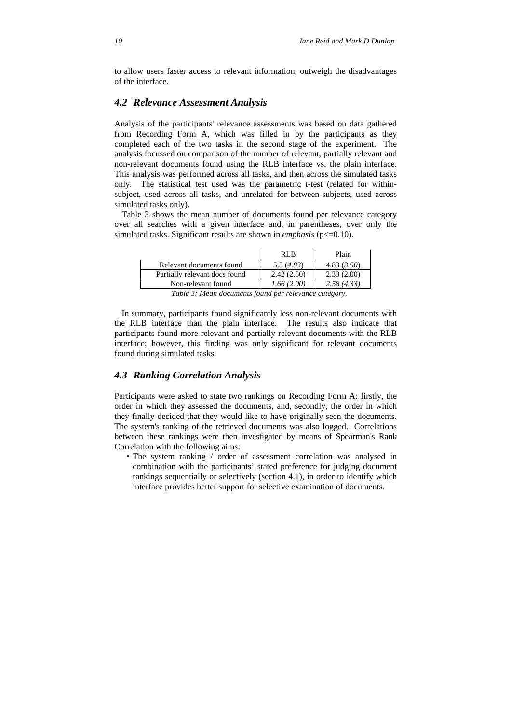to allow users faster access to relevant information, outweigh the disadvantages of the interface.

## *4.2 Relevance Assessment Analysis*

Analysis of the participants' relevance assessments was based on data gathered from Recording Form A, which was filled in by the participants as they completed each of the two tasks in the second stage of the experiment. The analysis focussed on comparison of the number of relevant, partially relevant and non-relevant documents found using the RLB interface vs. the plain interface. This analysis was performed across all tasks, and then across the simulated tasks only. The statistical test used was the parametric t-test (related for withinsubject, used across all tasks, and unrelated for between-subjects, used across simulated tasks only).

Table 3 shows the mean number of documents found per relevance category over all searches with a given interface and, in parentheses, over only the simulated tasks. Significant results are shown in *emphasis* (p $\leq$ =0.10).

|                               | RL B       | Plain      |
|-------------------------------|------------|------------|
| Relevant documents found      | 5.5(4.83)  | 4.83(3.50) |
| Partially relevant docs found | 2.42(2.50) | 2.33(2.00) |
| Non-relevant found            | 1.66(2.00) | 2.58(4.33) |

*Table 3: Mean documents found per relevance category.* 

In summary, participants found significantly less non-relevant documents with the RLB interface than the plain interface. The results also indicate that participants found more relevant and partially relevant documents with the RLB interface; however, this finding was only significant for relevant documents found during simulated tasks.

# *4.3 Ranking Correlation Analysis*

Participants were asked to state two rankings on Recording Form A: firstly, the order in which they assessed the documents, and, secondly, the order in which they finally decided that they would like to have originally seen the documents. The system's ranking of the retrieved documents was also logged. Correlations between these rankings were then investigated by means of Spearman's Rank Correlation with the following aims:

• The system ranking / order of assessment correlation was analysed in combination with the participants' stated preference for judging document rankings sequentially or selectively (section 4.1), in order to identify which interface provides better support for selective examination of documents.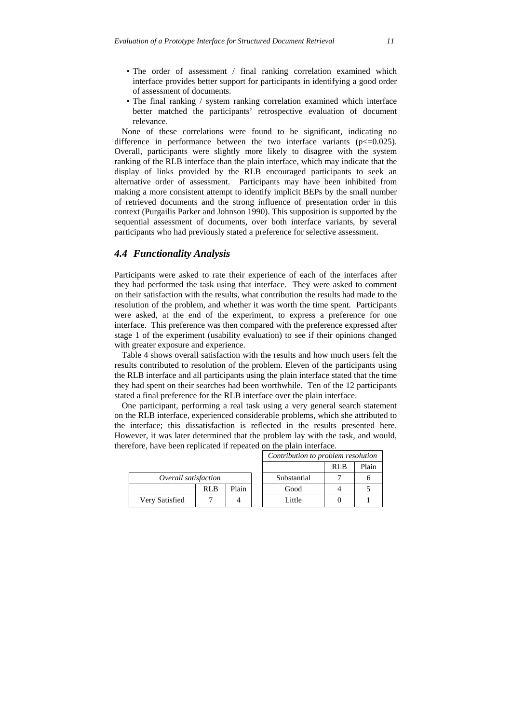- The order of assessment / final ranking correlation examined which interface provides better support for participants in identifying a good order of assessment of documents.
- The final ranking / system ranking correlation examined which interface better matched the participants' retrospective evaluation of document relevance.

None of these correlations were found to be significant, indicating no difference in performance between the two interface variants  $(p\leq 0.025)$ . Overall, participants were slightly more likely to disagree with the system ranking of the RLB interface than the plain interface, which may indicate that the display of links provided by the RLB encouraged participants to seek an alternative order of assessment. Participants may have been inhibited from making a more consistent attempt to identify implicit BEPs by the small number of retrieved documents and the strong influence of presentation order in this context (Purgailis Parker and Johnson 1990). This supposition is supported by the sequential assessment of documents, over both interface variants, by several participants who had previously stated a preference for selective assessment.

# *4.4 Functionality Analysis*

Participants were asked to rate their experience of each of the interfaces after they had performed the task using that interface. They were asked to comment on their satisfaction with the results, what contribution the results had made to the resolution of the problem, and whether it was worth the time spent. Participants were asked, at the end of the experiment, to express a preference for one interface. This preference was then compared with the preference expressed after stage 1 of the experiment (usability evaluation) to see if their opinions changed with greater exposure and experience.

Table 4 shows overall satisfaction with the results and how much users felt the results contributed to resolution of the problem. Eleven of the participants using the RLB interface and all participants using the plain interface stated that the time they had spent on their searches had been worthwhile. Ten of the 12 participants stated a final preference for the RLB interface over the plain interface.

One participant, performing a real task using a very general search statement on the RLB interface, experienced considerable problems, which she attributed to the interface; this dissatisfaction is reflected in the results presented here. However, it was later determined that the problem lay with the task, and would, therefore, have been replicated if repeated on the plain interface.

|                      |            |       |             | بريد | ı ıaı |
|----------------------|------------|-------|-------------|------|-------|
| Overall satisfaction |            |       | Substantial |      | 6     |
|                      | <b>RLB</b> | Plain | Good        |      |       |
| Very Satisfied       |            |       | Little      |      |       |

|                      |            |       |  | Contribution to problem resolution |            |       |  |
|----------------------|------------|-------|--|------------------------------------|------------|-------|--|
|                      |            |       |  |                                    | <b>RLB</b> | Plain |  |
| Overall satisfaction |            |       |  | Substantial                        |            |       |  |
|                      | <b>RLB</b> | Plain |  | Good                               |            |       |  |
| Very Satisfied       |            |       |  | Little                             |            |       |  |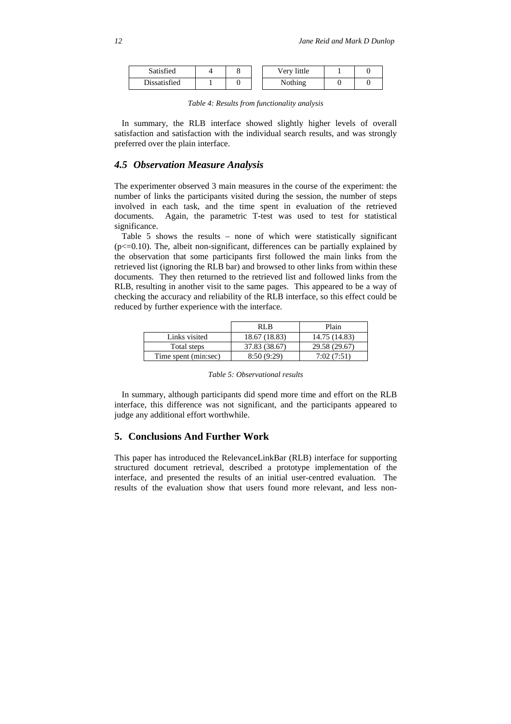| Satisfied    |  | Very little |  |
|--------------|--|-------------|--|
| Dissatisfied |  | Nothing     |  |

*Table 4: Results from functionality analysis* 

In summary, the RLB interface showed slightly higher levels of overall satisfaction and satisfaction with the individual search results, and was strongly preferred over the plain interface.

#### *4.5 Observation Measure Analysis*

The experimenter observed 3 main measures in the course of the experiment: the number of links the participants visited during the session, the number of steps involved in each task, and the time spent in evaluation of the retrieved documents. Again, the parametric T-test was used to test for statistical significance.

Table 5 shows the results – none of which were statistically significant  $(p \leq 0.10)$ . The, albeit non-significant, differences can be partially explained by the observation that some participants first followed the main links from the retrieved list (ignoring the RLB bar) and browsed to other links from within these documents. They then returned to the retrieved list and followed links from the RLB, resulting in another visit to the same pages. This appeared to be a way of checking the accuracy and reliability of the RLB interface, so this effect could be reduced by further experience with the interface.

|                      | RL B          | Plain         |
|----------------------|---------------|---------------|
| Links visited        | 18.67 (18.83) | 14.75 (14.83) |
| Total steps          | 37.83 (38.67) | 29.58 (29.67) |
| Time spent (min:sec) | 8:50(9:29)    | 7:02(7:51)    |

*Table 5: Observational results* 

In summary, although participants did spend more time and effort on the RLB interface, this difference was not significant, and the participants appeared to judge any additional effort worthwhile.

## **5. Conclusions And Further Work**

This paper has introduced the RelevanceLinkBar (RLB) interface for supporting structured document retrieval, described a prototype implementation of the interface, and presented the results of an initial user-centred evaluation. The results of the evaluation show that users found more relevant, and less non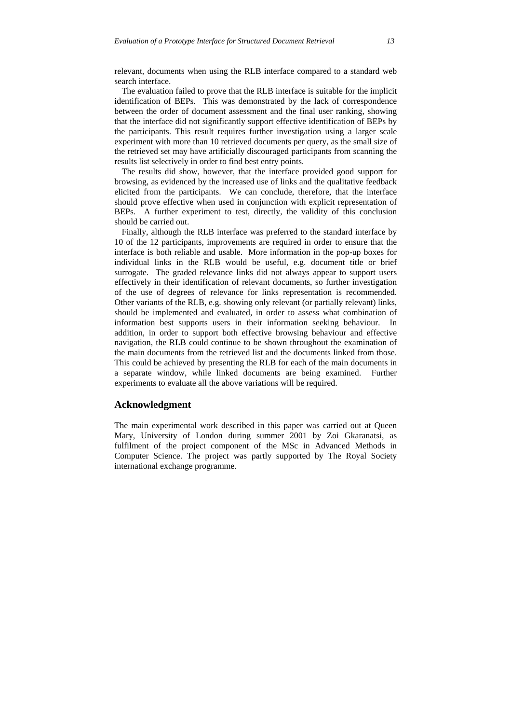relevant, documents when using the RLB interface compared to a standard web search interface.

The evaluation failed to prove that the RLB interface is suitable for the implicit identification of BEPs. This was demonstrated by the lack of correspondence between the order of document assessment and the final user ranking, showing that the interface did not significantly support effective identification of BEPs by the participants. This result requires further investigation using a larger scale experiment with more than 10 retrieved documents per query, as the small size of the retrieved set may have artificially discouraged participants from scanning the results list selectively in order to find best entry points.

The results did show, however, that the interface provided good support for browsing, as evidenced by the increased use of links and the qualitative feedback elicited from the participants. We can conclude, therefore, that the interface should prove effective when used in conjunction with explicit representation of BEPs. A further experiment to test, directly, the validity of this conclusion should be carried out.

Finally, although the RLB interface was preferred to the standard interface by 10 of the 12 participants, improvements are required in order to ensure that the interface is both reliable and usable. More information in the pop-up boxes for individual links in the RLB would be useful, e.g. document title or brief surrogate. The graded relevance links did not always appear to support users effectively in their identification of relevant documents, so further investigation of the use of degrees of relevance for links representation is recommended. Other variants of the RLB, e.g. showing only relevant (or partially relevant) links, should be implemented and evaluated, in order to assess what combination of information best supports users in their information seeking behaviour. In addition, in order to support both effective browsing behaviour and effective navigation, the RLB could continue to be shown throughout the examination of the main documents from the retrieved list and the documents linked from those. This could be achieved by presenting the RLB for each of the main documents in a separate window, while linked documents are being examined. Further experiments to evaluate all the above variations will be required.

## **Acknowledgment**

The main experimental work described in this paper was carried out at Queen Mary, University of London during summer 2001 by Zoi Gkaranatsi, as fulfilment of the project component of the MSc in Advanced Methods in Computer Science. The project was partly supported by The Royal Society international exchange programme.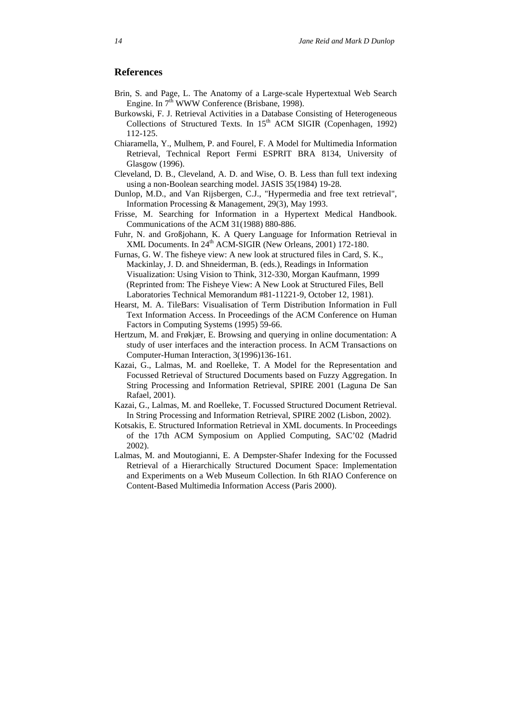# **References**

- Brin, S. and Page, L. The Anatomy of a Large-scale Hypertextual Web Search Engine. In  $7^{\text{th}}$  WWW Conference (Brisbane, 1998).
- Burkowski, F. J. Retrieval Activities in a Database Consisting of Heterogeneous Collections of Structured Texts. In  $15<sup>th</sup>$  ACM SIGIR (Copenhagen, 1992) 112-125.
- Chiaramella, Y., Mulhem, P. and Fourel, F. A Model for Multimedia Information Retrieval, Technical Report Fermi ESPRIT BRA 8134, University of Glasgow (1996).
- Cleveland, D. B., Cleveland, A. D. and Wise, O. B. Less than full text indexing using a non-Boolean searching model. JASIS 35(1984) 19-28.
- Dunlop, M.D., and Van Rijsbergen, C.J., "Hypermedia and free text retrieval", Information Processing & Management, 29(3), May 1993.
- Frisse, M. Searching for Information in a Hypertext Medical Handbook. Communications of the ACM 31(1988) 880-886.
- Fuhr, N. and Großjohann, K. A Query Language for Information Retrieval in XML Documents. In 24<sup>th</sup> ACM-SIGIR (New Orleans, 2001) 172-180.
- Furnas, G. W. The fisheye view: A new look at structured files in Card, S. K., Mackinlay, J. D. and Shneiderman, B. (eds.), Readings in Information Visualization: Using Vision to Think, 312-330, Morgan Kaufmann, 1999 (Reprinted from: The Fisheye View: A New Look at Structured Files, Bell Laboratories Technical Memorandum #81-11221-9, October 12, 1981).
- Hearst, M. A. TileBars: Visualisation of Term Distribution Information in Full Text Information Access. In Proceedings of the ACM Conference on Human Factors in Computing Systems (1995) 59-66.
- Hertzum, M. and Frøkjær, E. Browsing and querying in online documentation: A study of user interfaces and the interaction process. In ACM Transactions on Computer-Human Interaction, 3(1996)136-161.
- Kazai, G., Lalmas, M. and Roelleke, T. A Model for the Representation and Focussed Retrieval of Structured Documents based on Fuzzy Aggregation. In String Processing and Information Retrieval, SPIRE 2001 (Laguna De San Rafael, 2001).
- Kazai, G., Lalmas, M. and Roelleke, T. Focussed Structured Document Retrieval. In String Processing and Information Retrieval, SPIRE 2002 (Lisbon, 2002).
- Kotsakis, E. Structured Information Retrieval in XML documents. In Proceedings of the 17th ACM Symposium on Applied Computing, SAC'02 (Madrid 2002).
- Lalmas, M. and Moutogianni, E. A Dempster-Shafer Indexing for the Focussed Retrieval of a Hierarchically Structured Document Space: Implementation and Experiments on a Web Museum Collection. In 6th RIAO Conference on Content-Based Multimedia Information Access (Paris 2000).